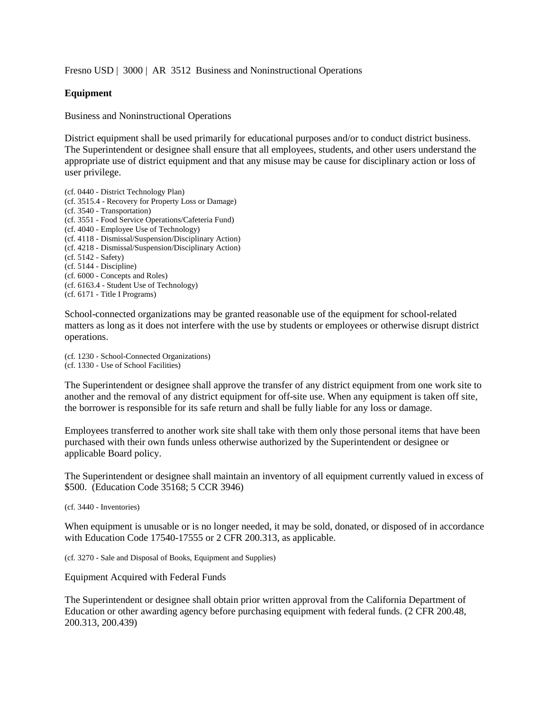Fresno USD | 3000 | AR 3512 Business and Noninstructional Operations

## **Equipment**

Business and Noninstructional Operations

District equipment shall be used primarily for educational purposes and/or to conduct district business. The Superintendent or designee shall ensure that all employees, students, and other users understand the appropriate use of district equipment and that any misuse may be cause for disciplinary action or loss of user privilege.

(cf. 0440 - District Technology Plan) (cf. 3515.4 - Recovery for Property Loss or Damage) (cf. 3540 - Transportation) (cf. 3551 - Food Service Operations/Cafeteria Fund) (cf. 4040 - Employee Use of Technology) (cf. 4118 - Dismissal/Suspension/Disciplinary Action) (cf. 4218 - Dismissal/Suspension/Disciplinary Action) (cf. 5142 - Safety) (cf. 5144 - Discipline) (cf. 6000 - Concepts and Roles) (cf. 6163.4 - Student Use of Technology) (cf. 6171 - Title I Programs)

School-connected organizations may be granted reasonable use of the equipment for school-related matters as long as it does not interfere with the use by students or employees or otherwise disrupt district operations.

(cf. 1230 - School-Connected Organizations) (cf. 1330 - Use of School Facilities)

The Superintendent or designee shall approve the transfer of any district equipment from one work site to another and the removal of any district equipment for off-site use. When any equipment is taken off site, the borrower is responsible for its safe return and shall be fully liable for any loss or damage.

Employees transferred to another work site shall take with them only those personal items that have been purchased with their own funds unless otherwise authorized by the Superintendent or designee or applicable Board policy.

The Superintendent or designee shall maintain an inventory of all equipment currently valued in excess of \$500. (Education Code 35168; 5 CCR 3946)

(cf. 3440 - Inventories)

When equipment is unusable or is no longer needed, it may be sold, donated, or disposed of in accordance with Education Code 17540-17555 or 2 CFR 200.313, as applicable.

(cf. 3270 - Sale and Disposal of Books, Equipment and Supplies)

Equipment Acquired with Federal Funds

The Superintendent or designee shall obtain prior written approval from the California Department of Education or other awarding agency before purchasing equipment with federal funds. (2 CFR 200.48, 200.313, 200.439)